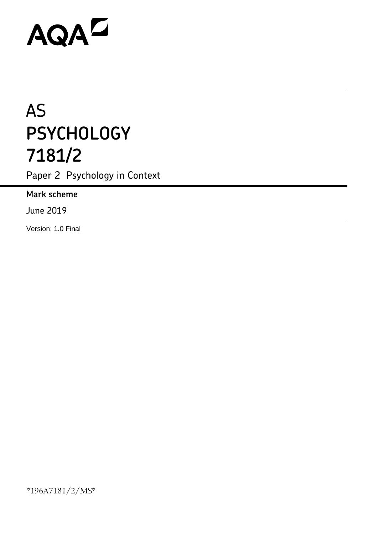# AQAD

# AS **PSYCHOLOGY 7181/2**

Paper 2 Psychology in Context

**Mark scheme**

June 2019

Version: 1.0 Final

\*196A7181/2/MS\*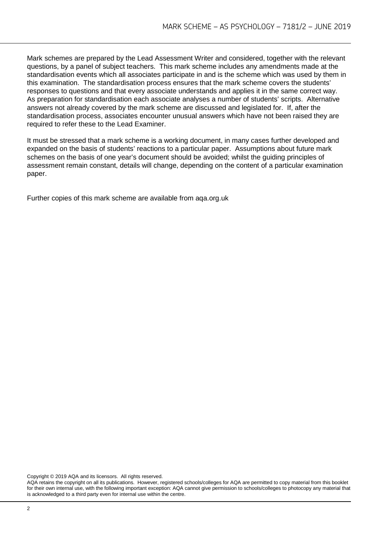Mark schemes are prepared by the Lead Assessment Writer and considered, together with the relevant questions, by a panel of subject teachers. This mark scheme includes any amendments made at the standardisation events which all associates participate in and is the scheme which was used by them in this examination. The standardisation process ensures that the mark scheme covers the students' responses to questions and that every associate understands and applies it in the same correct way. As preparation for standardisation each associate analyses a number of students' scripts. Alternative answers not already covered by the mark scheme are discussed and legislated for. If, after the standardisation process, associates encounter unusual answers which have not been raised they are required to refer these to the Lead Examiner.

It must be stressed that a mark scheme is a working document, in many cases further developed and expanded on the basis of students' reactions to a particular paper. Assumptions about future mark schemes on the basis of one year's document should be avoided; whilst the guiding principles of assessment remain constant, details will change, depending on the content of a particular examination paper.

Further copies of this mark scheme are available from aqa.org.uk

Copyright © 2019 AQA and its licensors. All rights reserved.

AQA retains the copyright on all its publications. However, registered schools/colleges for AQA are permitted to copy material from this booklet for their own internal use, with the following important exception: AQA cannot give permission to schools/colleges to photocopy any material that is acknowledged to a third party even for internal use within the centre.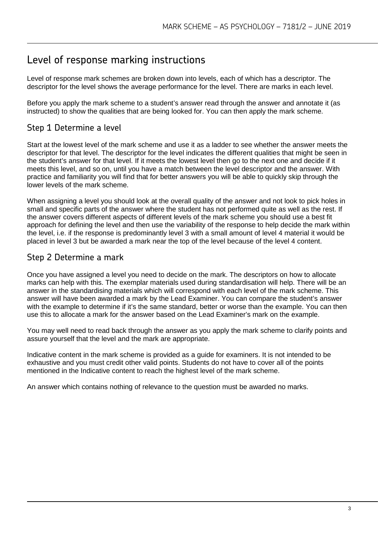# Level of response marking instructions

Level of response mark schemes are broken down into levels, each of which has a descriptor. The descriptor for the level shows the average performance for the level. There are marks in each level.

Before you apply the mark scheme to a student's answer read through the answer and annotate it (as instructed) to show the qualities that are being looked for. You can then apply the mark scheme.

### Step 1 Determine a level

Start at the lowest level of the mark scheme and use it as a ladder to see whether the answer meets the descriptor for that level. The descriptor for the level indicates the different qualities that might be seen in the student's answer for that level. If it meets the lowest level then go to the next one and decide if it meets this level, and so on, until you have a match between the level descriptor and the answer. With practice and familiarity you will find that for better answers you will be able to quickly skip through the lower levels of the mark scheme.

When assigning a level you should look at the overall quality of the answer and not look to pick holes in small and specific parts of the answer where the student has not performed quite as well as the rest. If the answer covers different aspects of different levels of the mark scheme you should use a best fit approach for defining the level and then use the variability of the response to help decide the mark within the level, i.e. if the response is predominantly level 3 with a small amount of level 4 material it would be placed in level 3 but be awarded a mark near the top of the level because of the level 4 content.

## Step 2 Determine a mark

Once you have assigned a level you need to decide on the mark. The descriptors on how to allocate marks can help with this. The exemplar materials used during standardisation will help. There will be an answer in the standardising materials which will correspond with each level of the mark scheme. This answer will have been awarded a mark by the Lead Examiner. You can compare the student's answer with the example to determine if it's the same standard, better or worse than the example. You can then use this to allocate a mark for the answer based on the Lead Examiner's mark on the example.

You may well need to read back through the answer as you apply the mark scheme to clarify points and assure yourself that the level and the mark are appropriate.

Indicative content in the mark scheme is provided as a guide for examiners. It is not intended to be exhaustive and you must credit other valid points. Students do not have to cover all of the points mentioned in the Indicative content to reach the highest level of the mark scheme.

An answer which contains nothing of relevance to the question must be awarded no marks.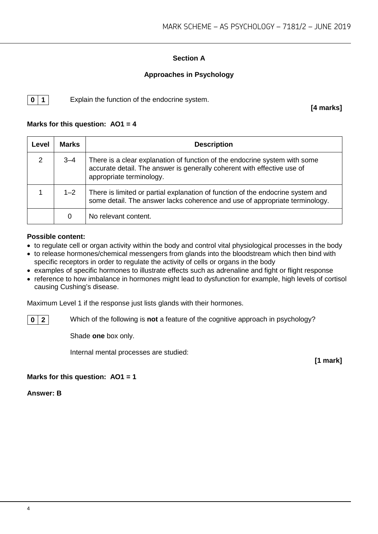#### **Section A**

#### **Approaches in Psychology**

**0** | **1** Explain the function of the endocrine system.

**[4 marks]**

#### **Marks for this question: AO1 = 4**

| Level | <b>Marks</b> | <b>Description</b>                                                                                                                                                                |  |  |
|-------|--------------|-----------------------------------------------------------------------------------------------------------------------------------------------------------------------------------|--|--|
| 2     | $3 - 4$      | There is a clear explanation of function of the endocrine system with some<br>accurate detail. The answer is generally coherent with effective use of<br>appropriate terminology. |  |  |
|       | $1 - 2$      | There is limited or partial explanation of function of the endocrine system and<br>some detail. The answer lacks coherence and use of appropriate terminology.                    |  |  |
|       | 0            | No relevant content.                                                                                                                                                              |  |  |

#### **Possible content:**

- to regulate cell or organ activity within the body and control vital physiological processes in the body
- to release hormones/chemical messengers from glands into the bloodstream which then bind with specific receptors in order to regulate the activity of cells or organs in the body
- examples of specific hormones to illustrate effects such as adrenaline and fight or flight response
- reference to how imbalance in hormones might lead to dysfunction for example, high levels of cortisol causing Cushing's disease.

Maximum Level 1 if the response just lists glands with their hormones.

**0 2** Which of the following is **not** a feature of the cognitive approach in psychology?

Shade **one** box only.

Internal mental processes are studied:

**[1 mark]**

#### **Marks for this question: AO1 = 1**

**Answer: B**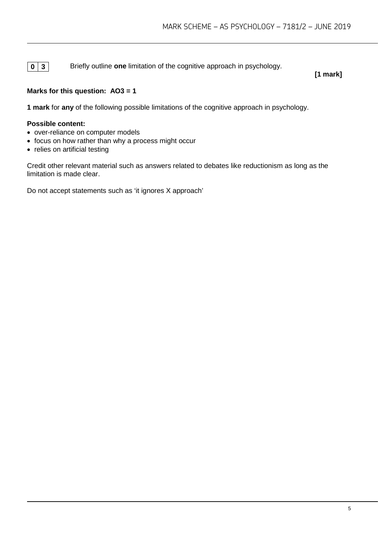**0 3** Briefly outline **one** limitation of the cognitive approach in psychology.

**[1 mark]**

#### **Marks for this question: AO3 = 1**

**1 mark** for **any** of the following possible limitations of the cognitive approach in psychology.

#### **Possible content:**

- over-reliance on computer models
- focus on how rather than why a process might occur
- relies on artificial testing

Credit other relevant material such as answers related to debates like reductionism as long as the limitation is made clear.

Do not accept statements such as 'it ignores X approach'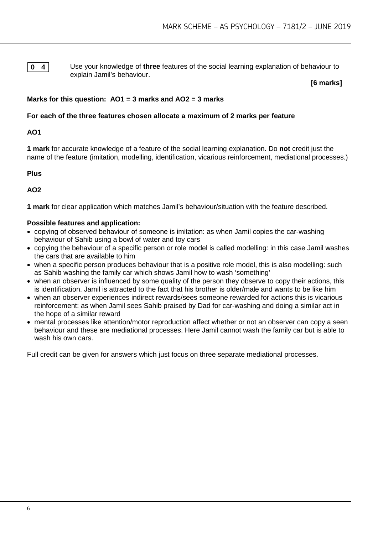**0 4** Use your knowledge of **three** features of the social learning explanation of behaviour to explain Jamil's behaviour.

**[6 marks]**

#### **Marks for this question: AO1 = 3 marks and AO2 = 3 marks**

#### **For each of the three features chosen allocate a maximum of 2 marks per feature**

#### **AO1**

**1 mark** for accurate knowledge of a feature of the social learning explanation. Do **not** credit just the name of the feature (imitation, modelling, identification, vicarious reinforcement, mediational processes.)

**Plus**

**AO2**

**1 mark** for clear application which matches Jamil's behaviour/situation with the feature described.

#### **Possible features and application:**

- copying of observed behaviour of someone is imitation: as when Jamil copies the car-washing behaviour of Sahib using a bowl of water and toy cars
- copying the behaviour of a specific person or role model is called modelling: in this case Jamil washes the cars that are available to him
- when a specific person produces behaviour that is a positive role model, this is also modelling: such as Sahib washing the family car which shows Jamil how to wash 'something'
- when an observer is influenced by some quality of the person they observe to copy their actions, this is identification. Jamil is attracted to the fact that his brother is older/male and wants to be like him
- when an observer experiences indirect rewards/sees someone rewarded for actions this is vicarious reinforcement: as when Jamil sees Sahib praised by Dad for car-washing and doing a similar act in the hope of a similar reward
- mental processes like attention/motor reproduction affect whether or not an observer can copy a seen behaviour and these are mediational processes. Here Jamil cannot wash the family car but is able to wash his own cars.

Full credit can be given for answers which just focus on three separate mediational processes.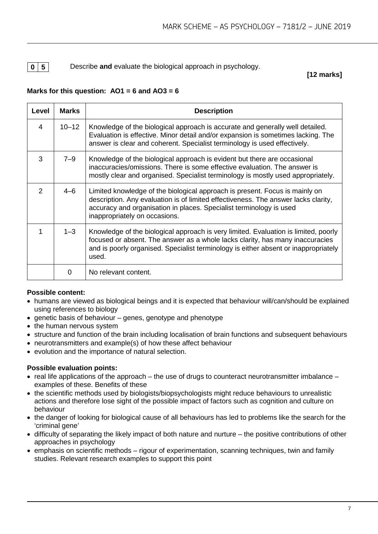#### **0 5** Describe and evaluate the biological approach in psychology.

#### **[12 marks]**

#### **Marks for this question:**  $AO1 = 6$  **and**  $AO3 = 6$

| Level | <b>Marks</b> | <b>Description</b>                                                                                                                                                                                                                                                        |  |  |  |
|-------|--------------|---------------------------------------------------------------------------------------------------------------------------------------------------------------------------------------------------------------------------------------------------------------------------|--|--|--|
| 4     | $10 - 12$    | Knowledge of the biological approach is accurate and generally well detailed.<br>Evaluation is effective. Minor detail and/or expansion is sometimes lacking. The<br>answer is clear and coherent. Specialist terminology is used effectively.                            |  |  |  |
| 3     | 7–9          | Knowledge of the biological approach is evident but there are occasional<br>inaccuracies/omissions. There is some effective evaluation. The answer is<br>mostly clear and organised. Specialist terminology is mostly used appropriately.                                 |  |  |  |
| 2     | $4 - 6$      | Limited knowledge of the biological approach is present. Focus is mainly on<br>description. Any evaluation is of limited effectiveness. The answer lacks clarity,<br>accuracy and organisation in places. Specialist terminology is used<br>inappropriately on occasions. |  |  |  |
|       | $1 - 3$      | Knowledge of the biological approach is very limited. Evaluation is limited, poorly<br>focused or absent. The answer as a whole lacks clarity, has many inaccuracies<br>and is poorly organised. Specialist terminology is either absent or inappropriately<br>used.      |  |  |  |
|       | 0            | No relevant content.                                                                                                                                                                                                                                                      |  |  |  |

#### **Possible content:**

- humans are viewed as biological beings and it is expected that behaviour will/can/should be explained using references to biology
- genetic basis of behaviour genes, genotype and phenotype
- the human nervous system
- structure and function of the brain including localisation of brain functions and subsequent behaviours
- neurotransmitters and example(s) of how these affect behaviour
- evolution and the importance of natural selection.

#### **Possible evaluation points:**

- real life applications of the approach the use of drugs to counteract neurotransmitter imbalance examples of these. Benefits of these
- the scientific methods used by biologists/biopsychologists might reduce behaviours to unrealistic actions and therefore lose sight of the possible impact of factors such as cognition and culture on behaviour
- the danger of looking for biological cause of all behaviours has led to problems like the search for the 'criminal gene'
- difficulty of separating the likely impact of both nature and nurture the positive contributions of other approaches in psychology
- emphasis on scientific methods rigour of experimentation, scanning techniques, twin and family studies. Relevant research examples to support this point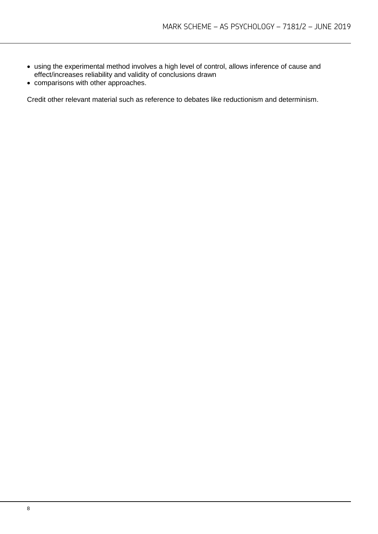- using the experimental method involves a high level of control, allows inference of cause and effect/increases reliability and validity of conclusions drawn
- comparisons with other approaches.

Credit other relevant material such as reference to debates like reductionism and determinism.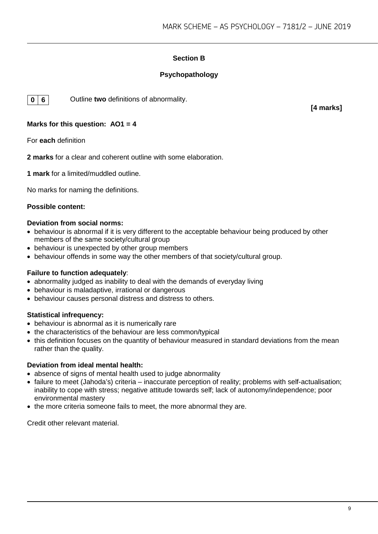#### **Section B**

#### **Psychopathology**



**0 6** Outline **two** definitions of abnormality.

**[4 marks]**

#### **Marks for this question: AO1 = 4**

For **each** definition

**2 marks** for a clear and coherent outline with some elaboration.

**1 mark** for a limited/muddled outline.

No marks for naming the definitions.

#### **Possible content:**

#### **Deviation from social norms:**

- behaviour is abnormal if it is very different to the acceptable behaviour being produced by other members of the same society/cultural group
- behaviour is unexpected by other group members
- behaviour offends in some way the other members of that society/cultural group.

#### **Failure to function adequately**:

- abnormality judged as inability to deal with the demands of everyday living
- behaviour is maladaptive, irrational or dangerous
- behaviour causes personal distress and distress to others.

#### **Statistical infrequency:**

- behaviour is abnormal as it is numerically rare
- the characteristics of the behaviour are less common/typical
- this definition focuses on the quantity of behaviour measured in standard deviations from the mean rather than the quality.

#### **Deviation from ideal mental health:**

- absence of signs of mental health used to judge abnormality
- failure to meet (Jahoda's) criteria inaccurate perception of reality; problems with self-actualisation; inability to cope with stress; negative attitude towards self; lack of autonomy/independence; poor environmental mastery
- the more criteria someone fails to meet, the more abnormal they are.

Credit other relevant material.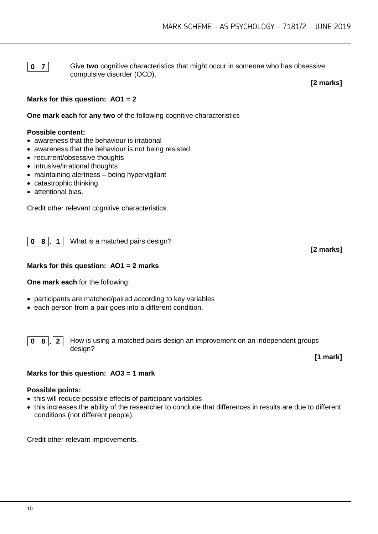**0 7** Give two cognitive characteristics that might occur in someone who has obsessive compulsive disorder (OCD).

**[2 marks]**

#### **Marks for this question: AO1 = 2**

**One mark each for any two of the following cognitive characteristics** 

#### **Possible content:**

- awareness that the behaviour is irrational
- awareness that the behaviour is not being resisted
- recurrent/obsessive thoughts
- intrusive/irrational thoughts
- maintaining alertness being hypervigilant
- catastrophic thinking
- attentional bias.

Credit other relevant cognitive characteristics.

**0 8 . 1** What is a matched pairs design?

#### **Marks for this question: AO1 = 2 marks**

**One mark each** for the following:

- participants are matched/paired according to key variables
- each person from a pair goes into a different condition.

**0 8 . 2** How is using a matched pairs design an improvement on an independent groups design?

**[1 mark]**

**[2 marks]**

# **Marks for this question: AO3 = 1 mark Possible points:**

- this will reduce possible effects of participant variables
- this increases the ability of the researcher to conclude that differences in results are due to different conditions (not different people).

Credit other relevant improvements.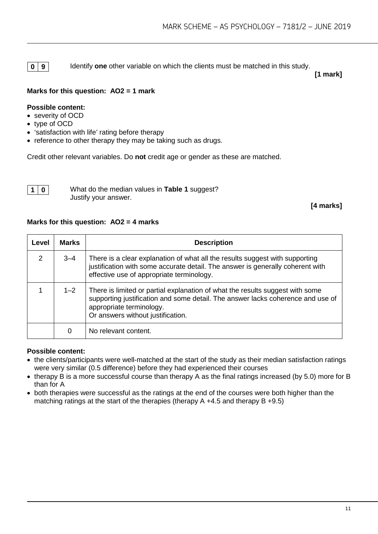**0** | **9** | Identify **one** other variable on which the clients must be matched in this study.

**[1 mark]**

#### **Marks for this question: AO2 = 1 mark**

#### **Possible content:**

- severity of OCD
- type of OCD
- 'satisfaction with life' rating before therapy
- reference to other therapy they may be taking such as drugs.

Credit other relevant variables. Do **not** credit age or gender as these are matched.



**1 0** What do the median values in **Table 1** suggest? Justify your answer.

**[4 marks]**

#### **Marks for this question: AO2 = 4 marks**

| Level         | <b>Marks</b> | <b>Description</b>                                                                                                                                                                                                                |  |  |
|---------------|--------------|-----------------------------------------------------------------------------------------------------------------------------------------------------------------------------------------------------------------------------------|--|--|
| $\mathcal{P}$ | $3 - 4$      | There is a clear explanation of what all the results suggest with supporting<br>justification with some accurate detail. The answer is generally coherent with<br>effective use of appropriate terminology.                       |  |  |
|               | $1 - 2$      | There is limited or partial explanation of what the results suggest with some<br>supporting justification and some detail. The answer lacks coherence and use of<br>appropriate terminology.<br>Or answers without justification. |  |  |
|               | 0            | No relevant content.                                                                                                                                                                                                              |  |  |

#### **Possible content:**

- the clients/participants were well-matched at the start of the study as their median satisfaction ratings were very similar (0.5 difference) before they had experienced their courses
- therapy B is a more successful course than therapy A as the final ratings increased (by 5.0) more for B than for A
- both therapies were successful as the ratings at the end of the courses were both higher than the matching ratings at the start of the therapies (therapy A +4.5 and therapy B +9.5)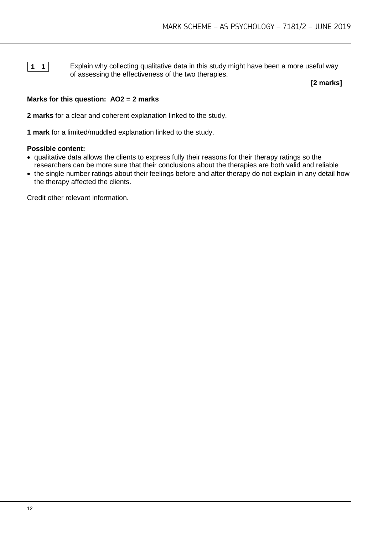**1** 1 **1** Explain why collecting qualitative data in this study might have been a more useful way of assessing the effectiveness of the two therapies.

**[2 marks]**

#### **Marks for this question: AO2 = 2 marks**

**2 marks** for a clear and coherent explanation linked to the study.

**1 mark** for a limited/muddled explanation linked to the study.

#### **Possible content:**

- qualitative data allows the clients to express fully their reasons for their therapy ratings so the researchers can be more sure that their conclusions about the therapies are both valid and reliable
- the single number ratings about their feelings before and after therapy do not explain in any detail how the therapy affected the clients.

Credit other relevant information.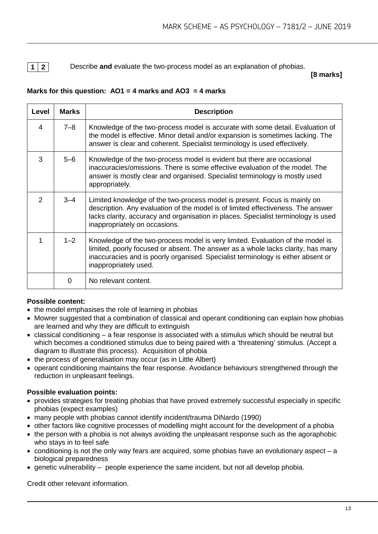**1 2** Describe **and** evaluate the two-process model as an explanation of phobias.

**[8 marks]**

#### **Marks for this question: AO1 = 4 marks and AO3 = 4 marks**

| Level         | <b>Marks</b> | <b>Description</b>                                                                                                                                                                                                                                                                   |  |  |  |
|---------------|--------------|--------------------------------------------------------------------------------------------------------------------------------------------------------------------------------------------------------------------------------------------------------------------------------------|--|--|--|
| 4             | $7 - 8$      | Knowledge of the two-process model is accurate with some detail. Evaluation of<br>the model is effective. Minor detail and/or expansion is sometimes lacking. The<br>answer is clear and coherent. Specialist terminology is used effectively.                                       |  |  |  |
| 3             | $5 - 6$      | Knowledge of the two-process model is evident but there are occasional<br>inaccuracies/omissions. There is some effective evaluation of the model. The<br>answer is mostly clear and organised. Specialist terminology is mostly used<br>appropriately.                              |  |  |  |
| $\mathcal{P}$ | $3 - 4$      | Limited knowledge of the two-process model is present. Focus is mainly on<br>description. Any evaluation of the model is of limited effectiveness. The answer<br>lacks clarity, accuracy and organisation in places. Specialist terminology is used<br>inappropriately on occasions. |  |  |  |
|               | $1 - 2$      | Knowledge of the two-process model is very limited. Evaluation of the model is<br>limited, poorly focused or absent. The answer as a whole lacks clarity, has many<br>inaccuracies and is poorly organised. Specialist terminology is either absent or<br>inappropriately used.      |  |  |  |
|               | 0            | No relevant content.                                                                                                                                                                                                                                                                 |  |  |  |

#### **Possible content:**

- the model emphasises the role of learning in phobias
- Mowrer suggested that a combination of classical and operant conditioning can explain how phobias are learned and why they are difficult to extinguish
- classical conditioning a fear response is associated with a stimulus which should be neutral but which becomes a conditioned stimulus due to being paired with a 'threatening' stimulus. (Accept a diagram to illustrate this process). Acquisition of phobia
- the process of generalisation may occur (as in Little Albert)
- operant conditioning maintains the fear response. Avoidance behaviours strengthened through the reduction in unpleasant feelings.

#### **Possible evaluation points:**

- provides strategies for treating phobias that have proved extremely successful especially in specific phobias (expect examples)
- many people with phobias cannot identify incident/trauma DiNardo (1990)
- other factors like cognitive processes of modelling might account for the development of a phobia
- the person with a phobia is not always avoiding the unpleasant response such as the agoraphobic who stays in to feel safe
- conditioning is not the only way fears are acquired, some phobias have an evolutionary aspect a biological preparedness
- genetic vulnerability people experience the same incident, but not all develop phobia.

Credit other relevant information.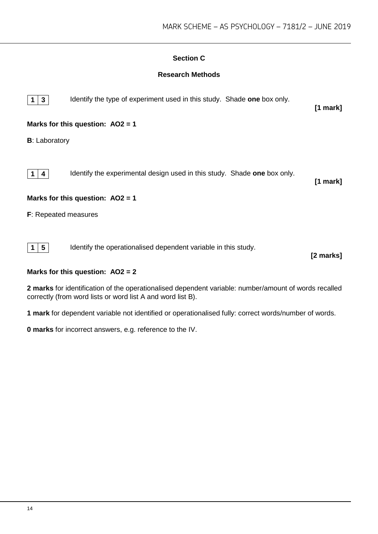#### **Section C**

#### **Research Methods**



#### **Marks for this question: AO2 = 2**

**2 marks** for identification of the operationalised dependent variable: number/amount of words recalled correctly (from word lists or word list A and word list B).

**1 mark** for dependent variable not identified or operationalised fully: correct words/number of words.

**0 marks** for incorrect answers, e.g. reference to the IV.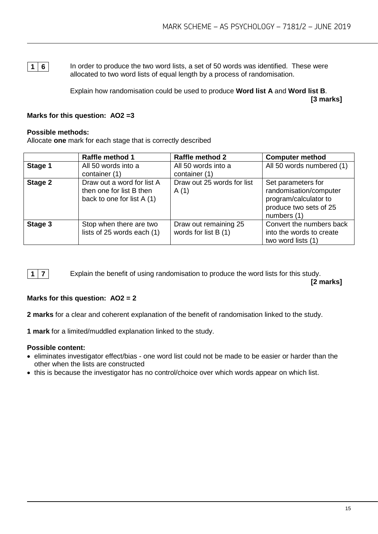**1 6** In order to produce the two word lists, a set of 50 words was identified. These were allocated to two word lists of equal length by a process of randomisation.

> Explain how randomisation could be used to produce **Word list A** and **Word list B**. **[3 marks]**

#### **Marks for this question: AO2 =3**

#### **Possible methods:**

Allocate **one** mark for each stage that is correctly described

|         | <b>Raffle method 1</b>                                                               | <b>Raffle method 2</b>                        | <b>Computer method</b>                                                                                         |
|---------|--------------------------------------------------------------------------------------|-----------------------------------------------|----------------------------------------------------------------------------------------------------------------|
| Stage 1 | All 50 words into a<br>container (1)                                                 | All 50 words into a<br>container (1)          | All 50 words numbered (1)                                                                                      |
| Stage 2 | Draw out a word for list A<br>then one for list B then<br>back to one for list A (1) | Draw out 25 words for list<br>A(1)            | Set parameters for<br>randomisation/computer<br>program/calculator to<br>produce two sets of 25<br>numbers (1) |
| Stage 3 | Stop when there are two<br>lists of 25 words each (1)                                | Draw out remaining 25<br>words for list B (1) | Convert the numbers back<br>into the words to create<br>two word lists (1)                                     |



**1 7** Explain the benefit of using randomisation to produce the word lists for this study.

**[2 marks]**

#### **Marks for this question: AO2 = 2**

**2 marks** for a clear and coherent explanation of the benefit of randomisation linked to the study.

**1 mark** for a limited/muddled explanation linked to the study.

#### **Possible content:**

- eliminates investigator effect/bias one word list could not be made to be easier or harder than the other when the lists are constructed
- this is because the investigator has no control/choice over which words appear on which list.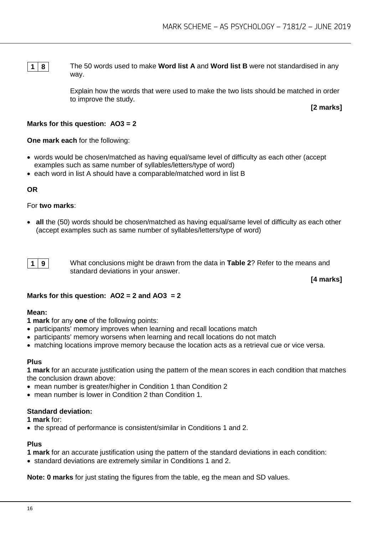**1 8** The 50 words used to make **Word list A** and **Word list B** were not standardised in any way.

> Explain how the words that were used to make the two lists should be matched in order to improve the study.

**[2 marks]**

#### **Marks for this question: AO3 = 2**

#### **One mark each** for the following:

- words would be chosen/matched as having equal/same level of difficulty as each other (accept examples such as same number of syllables/letters/type of word)
- each word in list A should have a comparable/matched word in list B

#### **OR**

#### For **two marks**:

• **all** the (50) words should be chosen/matched as having equal/same level of difficulty as each other (accept examples such as same number of syllables/letters/type of word)



**1 9** What conclusions might be drawn from the data in **Table 2**? Refer to the means and standard deviations in your answer.

**[4 marks]**

#### **Marks for this question: AO2 = 2 and AO3 = 2**

#### **Mean:**

- **1 mark** for any **one** of the following points:
- participants' memory improves when learning and recall locations match
- participants' memory worsens when learning and recall locations do not match
- matching locations improve memory because the location acts as a retrieval cue or vice versa.

#### **Plus**

**1 mark** for an accurate justification using the pattern of the mean scores in each condition that matches the conclusion drawn above:

- mean number is greater/higher in Condition 1 than Condition 2
- mean number is lower in Condition 2 than Condition 1.

#### **Standard deviation:**

**1 mark** for:

• the spread of performance is consistent/similar in Conditions 1 and 2.

#### **Plus**

- **1 mark** for an accurate justification using the pattern of the standard deviations in each condition:
- standard deviations are extremely similar in Conditions 1 and 2.

**Note: 0 marks** for just stating the figures from the table, eg the mean and SD values.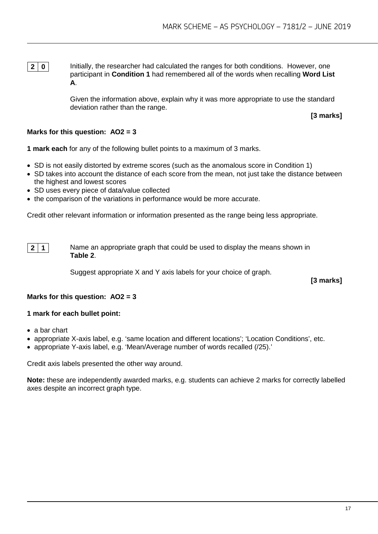**2 0** Initially, the researcher had calculated the ranges for both conditions. However, one participant in **Condition 1** had remembered all of the words when recalling **Word List A**.

> Given the information above, explain why it was more appropriate to use the standard deviation rather than the range.

**[3 marks]**

#### **Marks for this question: AO2 = 3**

**1 mark each** for any of the following bullet points to a maximum of 3 marks.

- SD is not easily distorted by extreme scores (such as the anomalous score in Condition 1)
- SD takes into account the distance of each score from the mean, not just take the distance between the highest and lowest scores
- SD uses every piece of data/value collected
- the comparison of the variations in performance would be more accurate.

Credit other relevant information or information presented as the range being less appropriate.



**2 1** Name an appropriate graph that could be used to display the means shown in **Table 2**.

Suggest appropriate X and Y axis labels for your choice of graph.

**[3 marks]**

#### **Marks for this question: AO2 = 3**

#### **1 mark for each bullet point:**

- a bar chart
- appropriate X-axis label, e.g. 'same location and different locations'; 'Location Conditions', etc.
- appropriate Y-axis label, e.g. 'Mean/Average number of words recalled (/25).'

Credit axis labels presented the other way around.

**Note:** these are independently awarded marks, e.g. students can achieve 2 marks for correctly labelled axes despite an incorrect graph type.